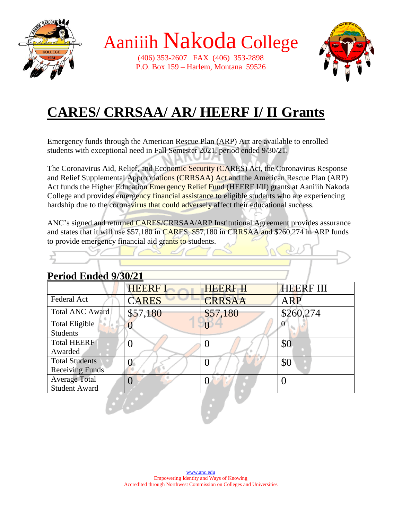

(406) 353-2607 FAX (406) 353-2898 P.O. Box 159 – Harlem, Montana 59526



### **CARES/ CRRSAA/ AR/ HEERF I/ II Grants**

Emergency funds through the American Rescue Plan (ARP) Act are available to enrolled students with exceptional need in Fall Semester 2021, period ended 9/30/21.

The Coronavirus Aid, Relief, and Economic Security (CARES) Act, the Coronavirus Response and Relief Supplemental Appropriations (CRRSAA) Act and the American Rescue Plan (ARP) Act funds the Higher Education Emergency Relief Fund (HEERF I/II) grants at Aaniiih Nakoda College and provides emergency financial assistance to eligible students who are experiencing hardship due to the coronavirus that could adversely affect their educational success.

ANC's signed and returned CARES/CRRSAA/ARP Institutional Agreement provides assurance and states that it will use \$57,180 in CARES, \$57,180 in CRRSAA and \$260,274 in ARP funds to provide emergency financial aid grants to students.  $K_{\alpha}$   $D_{\beta}$ 

| Period Ended 9/30/21 |  |  |  |  |
|----------------------|--|--|--|--|
|                      |  |  |  |  |

|                        | <b>HEERF I</b> | <b>HEERF II</b> | <b>HEERF III</b> |
|------------------------|----------------|-----------------|------------------|
| Federal Act            | <b>CARES</b>   | <b>CRRSAA</b>   | <b>ARP</b>       |
| <b>Total ANC Award</b> | \$57,180       | \$57,180        | \$260,274        |
| <b>Total Eligible</b>  |                |                 |                  |
| <b>Students</b>        |                |                 |                  |
| <b>Total HEERF</b>     |                |                 | \$0              |
| Awarded                |                |                 |                  |
| <b>Total Students</b>  |                |                 | \$0              |
| <b>Receiving Funds</b> |                |                 |                  |
| <b>Average Total</b>   |                |                 |                  |
| <b>Student Award</b>   |                |                 |                  |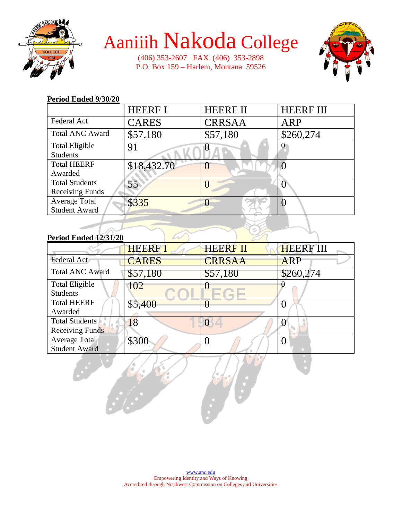

(406) 353-2607 FAX (406) 353-2898 P.O. Box 159 – Harlem, Montana 59526



#### **Period Ended 9/30/20**

|                        | <b>HEERF I</b> | <b>HEERF II</b> | <b>HEERF III</b> |
|------------------------|----------------|-----------------|------------------|
| Federal Act            | <b>CARES</b>   | <b>CRRSAA</b>   | ARP              |
| <b>Total ANC Award</b> | \$57,180       | \$57,180        | \$260,274        |
| <b>Total Eligible</b>  | 91             |                 |                  |
| <b>Students</b>        |                |                 |                  |
| <b>Total HEERF</b>     | \$18,432.70    |                 |                  |
| Awarded                |                |                 |                  |
| <b>Total Students</b>  | 55             |                 |                  |
| <b>Receiving Funds</b> |                |                 |                  |
| <b>Average Total</b>   | \$335          |                 |                  |
| <b>Student Award</b>   |                |                 |                  |

#### **Period Ended 12/31/20**

|                        | <b>HEERF1</b> | <b>HEERF II</b> | <b>HEERF III</b> |
|------------------------|---------------|-----------------|------------------|
| Federal Act            | <b>CARES</b>  | <b>CRRSAA</b>   | <b>ARP</b>       |
| <b>Total ANC Award</b> | \$57,180      | \$57,180        | \$260,274        |
| <b>Total Eligible</b>  | 102           |                 |                  |
| <b>Students</b>        |               |                 |                  |
| <b>Total HEERF</b>     | \$5,400       |                 |                  |
| Awarded                |               |                 |                  |
| <b>Total Students</b>  | 18            |                 |                  |
| <b>Receiving Funds</b> |               |                 |                  |
| Average Total          | \$300         |                 |                  |
| <b>Student Award</b>   |               |                 |                  |
|                        |               |                 |                  |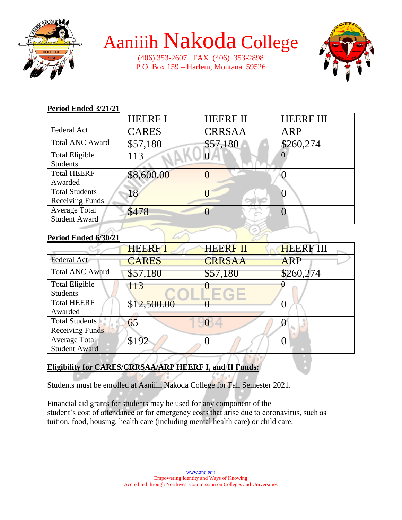

(406) 353-2607 FAX (406) 353-2898 P.O. Box 159 – Harlem, Montana 59526



#### **Period Ended 3/21/21**

|                        | <b>HEERF I</b> | <b>HEERF II</b> | <b>HEERF III</b> |
|------------------------|----------------|-----------------|------------------|
| <b>Federal Act</b>     | <b>CARES</b>   | <b>CRRSAA</b>   | ARP              |
| <b>Total ANC Award</b> | \$57,180       | \$57,180        | \$260,274        |
| <b>Total Eligible</b>  | 113            |                 |                  |
| <b>Students</b>        |                |                 |                  |
| <b>Total HEERF</b>     | \$8,600.00     |                 |                  |
| Awarded                |                |                 |                  |
| <b>Total Students</b>  | 18             |                 |                  |
| <b>Receiving Funds</b> |                |                 |                  |
| <b>Average Total</b>   | \$478          |                 |                  |
| <b>Student Award</b>   |                |                 |                  |

#### **Period Ended 6/30/21**

|                        | <b>HEERF1</b> | <b>HEERF II</b> | <b>HEERF III</b> |
|------------------------|---------------|-----------------|------------------|
| Federal Act            | <b>CARES</b>  | <b>CRRSAA</b>   | <b>ARP</b>       |
| <b>Total ANC Award</b> | \$57,180      | \$57,180        | \$260,274        |
| <b>Total Eligible</b>  | 113           |                 |                  |
| <b>Students</b>        |               |                 |                  |
| <b>Total HEERF</b>     | \$12,500.00   |                 |                  |
| Awarded                |               |                 |                  |
| <b>Total Students</b>  | 65            |                 |                  |
| <b>Receiving Funds</b> |               |                 |                  |
| Average Total          | \$192         |                 |                  |
| <b>Student Award</b>   |               |                 |                  |

#### **Eligibility for CARES/CRRSAA/ARP HEERF I, and II Funds:**

Students must be enrolled at Aaniiih Nakoda College for Fall Semester 2021.

Financial aid grants for students may be used for any component of the student's cost of attendance or for emergency costs that arise due to coronavirus, such as tuition, food, housing, health care (including mental health care) or child care.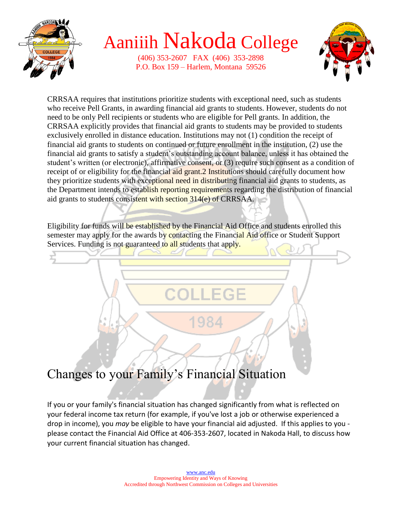

(406) 353-2607 FAX (406) 353-2898 P.O. Box 159 – Harlem, Montana 59526



CRRSAA requires that institutions prioritize students with exceptional need, such as students who receive Pell Grants, in awarding financial aid grants to students. However, students do not need to be only Pell recipients or students who are eligible for Pell grants. In addition, the CRRSAA explicitly provides that financial aid grants to students may be provided to students exclusively enrolled in distance education. Institutions may not (1) condition the receipt of financial aid grants to students on continued or future enrollment in the institution, (2) use the financial aid grants to satisfy a student's outstanding account balance, unless it has obtained the student's written (or electronic), affirmative consent, or (3) require such consent as a condition of receipt of or eligibility for the financial aid grant. 2 Institutions should carefully document how they prioritize students with exceptional need in distributing financial aid grants to students, as the Department intends to establish reporting requirements regarding the distribution of financial aid grants to students consistent with section 314(e) of CRRSAA.

Eligibility for funds will be established by the Financial Aid Office and students enrolled this semester may apply for the awards by contacting the Financial Aid office or Student Support Services. Funding is not guaranteed to all students that apply.



### Changes to your Family's Financial Situation

If you or your family's financial situation has changed significantly from what is reflected on your federal income tax return (for example, if you've lost a job or otherwise experienced a drop in income), you *may* be eligible to have your financial aid adjusted. If this applies to you please contact the Financial Aid Office at 406-353-2607, located in Nakoda Hall, to discuss how your current financial situation has changed.